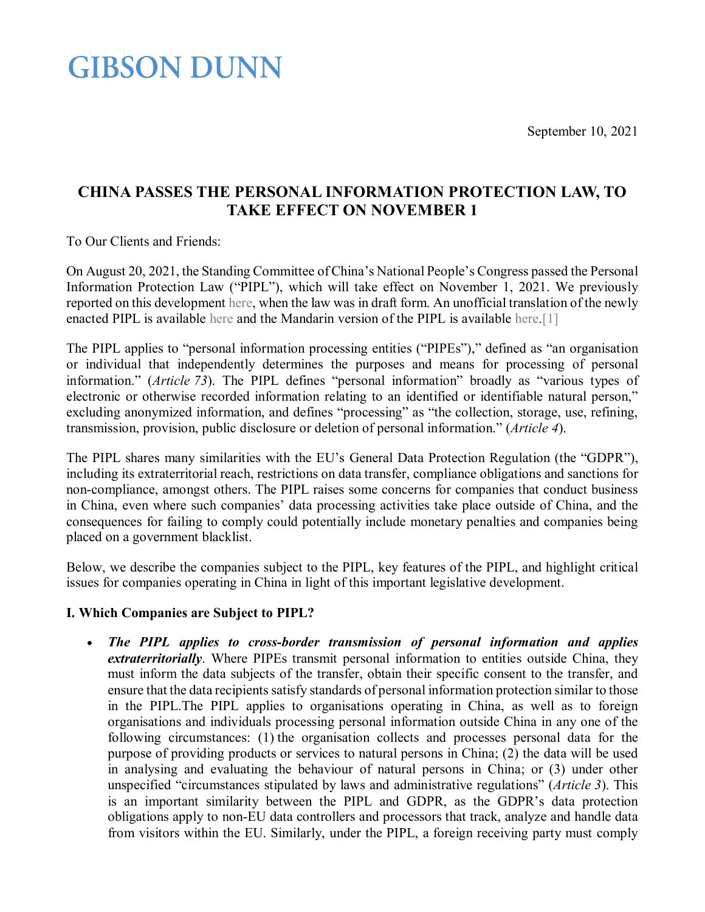September 10, 2021

## **GIBSON DUNN**

### **CHINA PASSES THE PERSONAL INFORMATION PROTECTION LAW, TO TAKE EFFECT ON NOVEMBER 1**

To Our Clients and Friends:

On August 20, 2021, the Standing Committee of China's National People's Congress passed the Personal Information Protection Law ("PIPL"), which will take effect on November 1, 2021. We previously reported on this development [here,](https://www.gibsondunn.com/china-constricts-sharing-of-in-country-corporate-and-personal-data-through-new-legislation/) when the law was in draft form. An unofficial translation of the newly enacted PIPL is available [here](https://digichina.stanford.edu/news/translation-personal-information-protection-law-peoples-republic-china-effective-nov-1-2021) and the Mandarin version of the PIPL is available [here](http://www.npc.gov.cn/npc/c30834/202108/a8c4e3672c74491a80b53a172bb753fe.shtml)[.\[1\]](#page-4-0)

The PIPL applies to "personal information processing entities ("PIPEs")," defined as "an organisation or individual that independently determines the purposes and means for processing of personal information." (*Article 73*). The PIPL defines "personal information" broadly as "various types of electronic or otherwise recorded information relating to an identified or identifiable natural person," excluding anonymized information, and defines "processing" as "the collection, storage, use, refining, transmission, provision, public disclosure or deletion of personal information." (*Article 4*).

The PIPL shares many similarities with the EU's General Data Protection Regulation (the "GDPR"), including its extraterritorial reach, restrictions on data transfer, compliance obligations and sanctions for non-compliance, amongst others. The PIPL raises some concerns for companies that conduct business in China, even where such companies' data processing activities take place outside of China, and the consequences for failing to comply could potentially include monetary penalties and companies being placed on a government blacklist.

Below, we describe the companies subject to the PIPL, key features of the PIPL, and highlight critical issues for companies operating in China in light of this important legislative development.

### **I. Which Companies are Subject to PIPL?**

• *The PIPL applies to cross-border transmission of personal information and applies extraterritorially*. Where PIPEs transmit personal information to entities outside China, they must inform the data subjects of the transfer, obtain their specific consent to the transfer, and ensure that the data recipients satisfy standards of personal information protection similar to those in the PIPL.The PIPL applies to organisations operating in China, as well as to foreign organisations and individuals processing personal information outside China in any one of the following circumstances: (1) the organisation collects and processes personal data for the purpose of providing products or services to natural persons in China; (2) the data will be used in analysing and evaluating the behaviour of natural persons in China; or (3) under other unspecified "circumstances stipulated by laws and administrative regulations" (*Article 3*). This is an important similarity between the PIPL and GDPR, as the GDPR's data protection obligations apply to non-EU data controllers and processors that track, analyze and handle data from visitors within the EU. Similarly, under the PIPL, a foreign receiving party must comply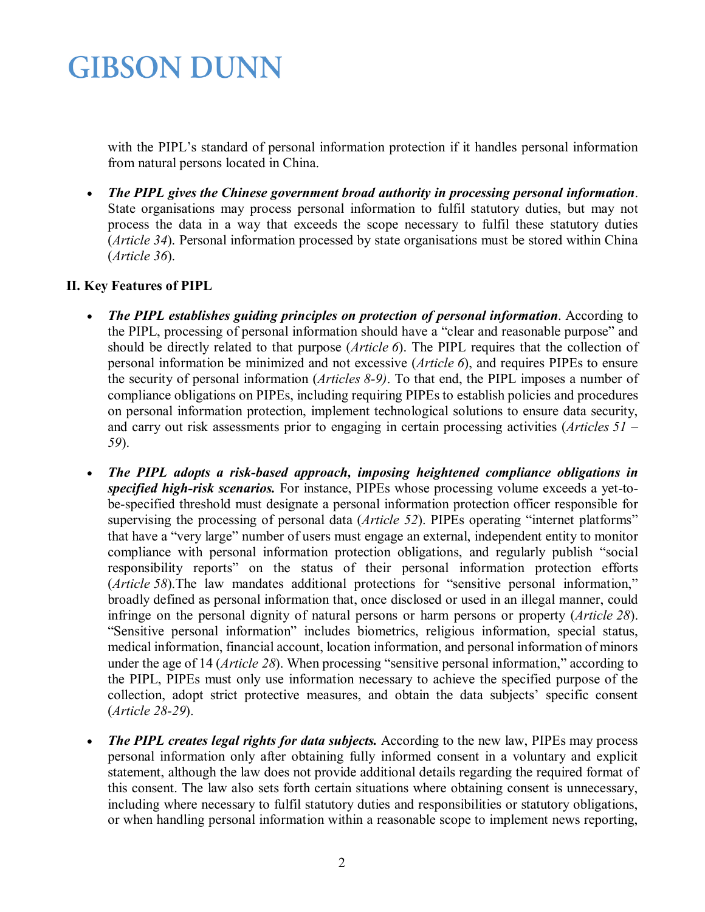with the PIPL's standard of personal information protection if it handles personal information from natural persons located in China.

• *The PIPL gives the Chinese government broad authority in processing personal information*. State organisations may process personal information to fulfil statutory duties, but may not process the data in a way that exceeds the scope necessary to fulfil these statutory duties (*Article 34*). Personal information processed by state organisations must be stored within China (*Article 36*).

### **II. Key Features of PIPL**

- *The PIPL establishes guiding principles on protection of personal information*. According to the PIPL, processing of personal information should have a "clear and reasonable purpose" and should be directly related to that purpose (*Article 6*). The PIPL requires that the collection of personal information be minimized and not excessive (*Article 6*), and requires PIPEs to ensure the security of personal information (*Articles 8-9)*. To that end, the PIPL imposes a number of compliance obligations on PIPEs, including requiring PIPEs to establish policies and procedures on personal information protection, implement technological solutions to ensure data security, and carry out risk assessments prior to engaging in certain processing activities (*Articles 51 – 59*).
- *The PIPL adopts a risk-based approach, imposing heightened compliance obligations in specified high-risk scenarios.* For instance, PIPEs whose processing volume exceeds a yet-tobe-specified threshold must designate a personal information protection officer responsible for supervising the processing of personal data (*Article 52*). PIPEs operating "internet platforms" that have a "very large" number of users must engage an external, independent entity to monitor compliance with personal information protection obligations, and regularly publish "social responsibility reports" on the status of their personal information protection efforts (*Article 58*).The law mandates additional protections for "sensitive personal information," broadly defined as personal information that, once disclosed or used in an illegal manner, could infringe on the personal dignity of natural persons or harm persons or property (*Article 28*). "Sensitive personal information" includes biometrics, religious information, special status, medical information, financial account, location information, and personal information of minors under the age of 14 (*Article 28*). When processing "sensitive personal information," according to the PIPL, PIPEs must only use information necessary to achieve the specified purpose of the collection, adopt strict protective measures, and obtain the data subjects' specific consent (*Article 28-29*).
- *The PIPL creates legal rights for data subjects.* According to the new law, PIPEs may process personal information only after obtaining fully informed consent in a voluntary and explicit statement, although the law does not provide additional details regarding the required format of this consent. The law also sets forth certain situations where obtaining consent is unnecessary, including where necessary to fulfil statutory duties and responsibilities or statutory obligations, or when handling personal information within a reasonable scope to implement news reporting,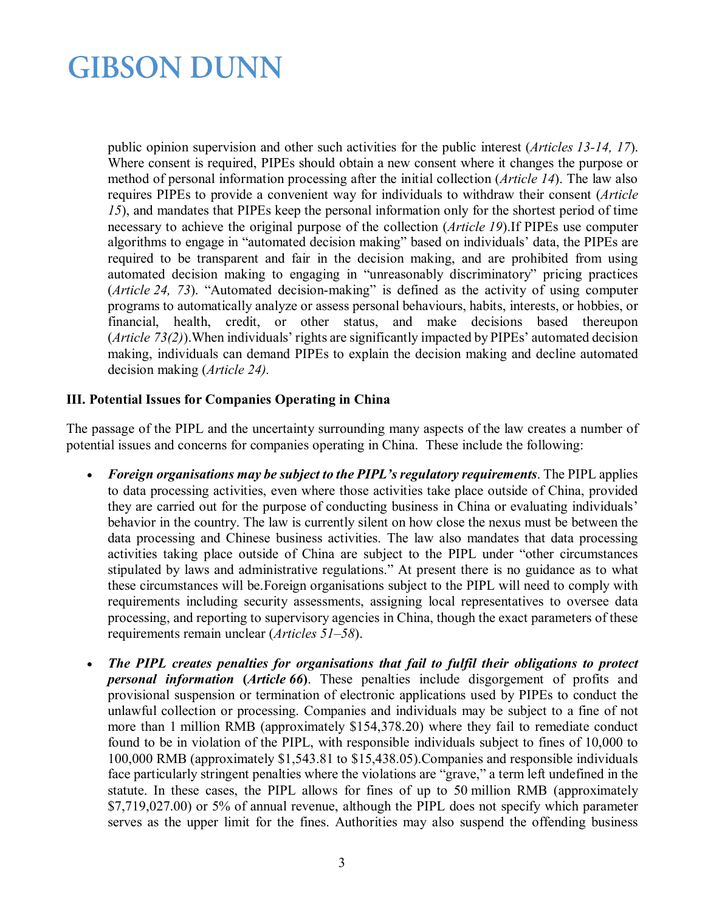public opinion supervision and other such activities for the public interest (*Articles 13-14, 17*). Where consent is required, PIPEs should obtain a new consent where it changes the purpose or method of personal information processing after the initial collection (*Article 14*). The law also requires PIPEs to provide a convenient way for individuals to withdraw their consent (*Article 15*), and mandates that PIPEs keep the personal information only for the shortest period of time necessary to achieve the original purpose of the collection (*Article 19*).If PIPEs use computer algorithms to engage in "automated decision making" based on individuals' data, the PIPEs are required to be transparent and fair in the decision making, and are prohibited from using automated decision making to engaging in "unreasonably discriminatory" pricing practices (*Article 24, 73*). "Automated decision-making" is defined as the activity of using computer programs to automatically analyze or assess personal behaviours, habits, interests, or hobbies, or financial, health, credit, or other status, and make decisions based thereupon (*Article 73(2)*).When individuals' rights are significantly impacted by PIPEs' automated decision making, individuals can demand PIPEs to explain the decision making and decline automated decision making (*Article 24).* 

#### **III. Potential Issues for Companies Operating in China**

The passage of the PIPL and the uncertainty surrounding many aspects of the law creates a number of potential issues and concerns for companies operating in China. These include the following:

- *Foreign organisations may be subject to the PIPL's regulatory requirements*. The PIPL applies to data processing activities, even where those activities take place outside of China, provided they are carried out for the purpose of conducting business in China or evaluating individuals' behavior in the country. The law is currently silent on how close the nexus must be between the data processing and Chinese business activities. The law also mandates that data processing activities taking place outside of China are subject to the PIPL under "other circumstances stipulated by laws and administrative regulations." At present there is no guidance as to what these circumstances will be.Foreign organisations subject to the PIPL will need to comply with requirements including security assessments, assigning local representatives to oversee data processing, and reporting to supervisory agencies in China, though the exact parameters of these requirements remain unclear (*Articles 51–58*).
- *The PIPL creates penalties for organisations that fail to fulfil their obligations to protect personal information* **(***Article 66***)**. These penalties include disgorgement of profits and provisional suspension or termination of electronic applications used by PIPEs to conduct the unlawful collection or processing. Companies and individuals may be subject to a fine of not more than 1 million RMB (approximately \$154,378.20) where they fail to remediate conduct found to be in violation of the PIPL, with responsible individuals subject to fines of 10,000 to 100,000 RMB (approximately \$1,543.81 to \$15,438.05).Companies and responsible individuals face particularly stringent penalties where the violations are "grave," a term left undefined in the statute. In these cases, the PIPL allows for fines of up to 50 million RMB (approximately \$7,719,027.00) or 5% of annual revenue, although the PIPL does not specify which parameter serves as the upper limit for the fines. Authorities may also suspend the offending business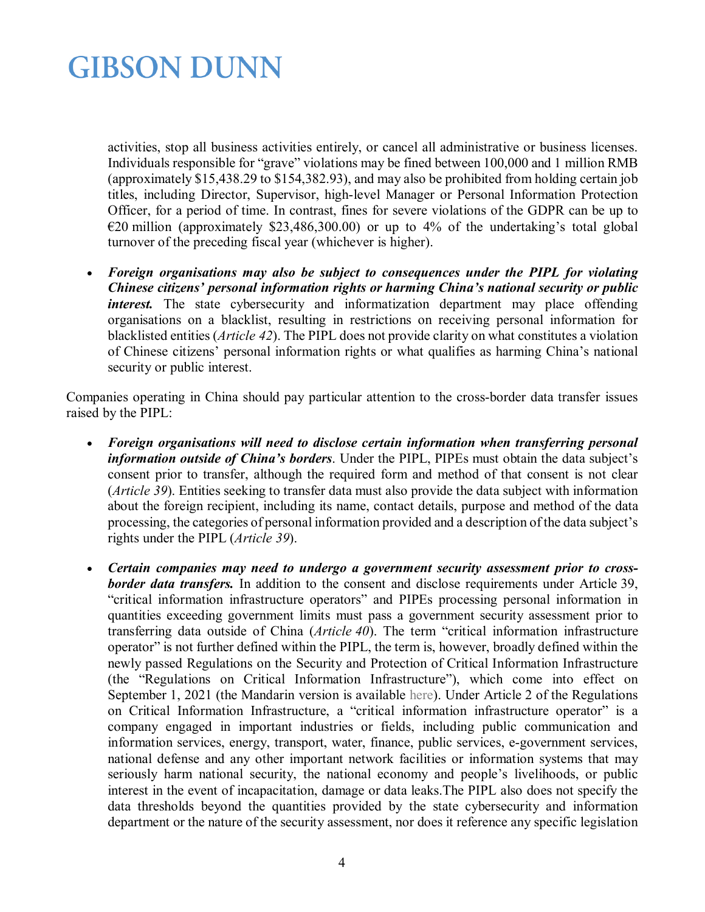activities, stop all business activities entirely, or cancel all administrative or business licenses. Individuals responsible for "grave" violations may be fined between 100,000 and 1 million RMB (approximately \$15,438.29 to \$154,382.93), and may also be prohibited from holding certain job titles, including Director, Supervisor, high-level Manager or Personal Information Protection Officer, for a period of time. In contrast, fines for severe violations of the GDPR can be up to  $E20$  million (approximately \$23,486,300.00) or up to 4% of the undertaking's total global turnover of the preceding fiscal year (whichever is higher).

• *Foreign organisations may also be subject to consequences under the PIPL for violating Chinese citizens' personal information rights or harming China's national security or public interest*. The state cybersecurity and informatization department may place offending organisations on a blacklist, resulting in restrictions on receiving personal information for blacklisted entities (*Article 42*). The PIPL does not provide clarity on what constitutes a violation of Chinese citizens' personal information rights or what qualifies as harming China's national security or public interest.

Companies operating in China should pay particular attention to the cross-border data transfer issues raised by the PIPL:

- *Foreign organisations will need to disclose certain information when transferring personal information outside of China's borders*. Under the PIPL, PIPEs must obtain the data subject's consent prior to transfer, although the required form and method of that consent is not clear (*Article 39*). Entities seeking to transfer data must also provide the data subject with information about the foreign recipient, including its name, contact details, purpose and method of the data processing, the categories of personal information provided and a description of the data subject's rights under the PIPL (*Article 39*).
- *Certain companies may need to undergo a government security assessment prior to crossborder data transfers.* In addition to the consent and disclose requirements under Article 39, "critical information infrastructure operators" and PIPEs processing personal information in quantities exceeding government limits must pass a government security assessment prior to transferring data outside of China (*Article 40*). The term "critical information infrastructure operator" is not further defined within the PIPL, the term is, however, broadly defined within the newly passed Regulations on the Security and Protection of Critical Information Infrastructure (the "Regulations on Critical Information Infrastructure"), which come into effect on September 1, 2021 (the Mandarin version is available [here\)](http://www.gov.cn/zhengce/content/2021-08/17/content_5631671.htm?mc_cid=da5881cf31&mc_eid=a268621911). Under Article 2 of the Regulations on Critical Information Infrastructure, a "critical information infrastructure operator" is a company engaged in important industries or fields, including public communication and information services, energy, transport, water, finance, public services, e-government services, national defense and any other important network facilities or information systems that may seriously harm national security, the national economy and people's livelihoods, or public interest in the event of incapacitation, damage or data leaks.The PIPL also does not specify the data thresholds beyond the quantities provided by the state cybersecurity and information department or the nature of the security assessment, nor does it reference any specific legislation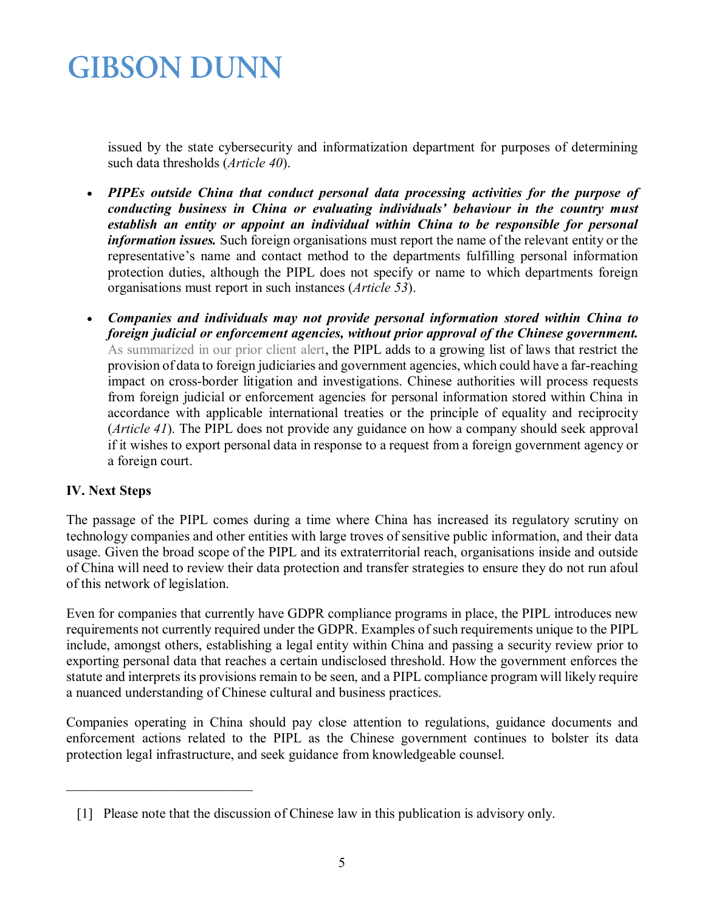issued by the state cybersecurity and informatization department for purposes of determining such data thresholds (*Article 40*).

- *PIPEs outside China that conduct personal data processing activities for the purpose of conducting business in China or evaluating individuals' behaviour in the country must establish an entity or appoint an individual within China to be responsible for personal information issues.* Such foreign organisations must report the name of the relevant entity or the representative's name and contact method to the departments fulfilling personal information protection duties, although the PIPL does not specify or name to which departments foreign organisations must report in such instances (*Article 53*).
- *Companies and individuals may not provide personal information stored within China to foreign judicial or enforcement agencies, without prior approval of the Chinese government.*  [As summarized in our prior client alert,](https://www.gibsondunn.com/china-constricts-sharing-of-in-country-corporate-and-personal-data-through-new-legislation/) the PIPL adds to a growing list of laws that restrict the provision of data to foreign judiciaries and government agencies, which could have a far-reaching impact on cross-border litigation and investigations. Chinese authorities will process requests from foreign judicial or enforcement agencies for personal information stored within China in accordance with applicable international treaties or the principle of equality and reciprocity (*Article 41*). The PIPL does not provide any guidance on how a company should seek approval if it wishes to export personal data in response to a request from a foreign government agency or a foreign court.

### **IV. Next Steps**

<span id="page-4-0"></span>\_\_\_\_\_\_\_\_\_\_\_\_\_\_\_\_\_\_\_\_\_\_\_\_\_\_\_

The passage of the PIPL comes during a time where China has increased its regulatory scrutiny on technology companies and other entities with large troves of sensitive public information, and their data usage. Given the broad scope of the PIPL and its extraterritorial reach, organisations inside and outside of China will need to review their data protection and transfer strategies to ensure they do not run afoul of this network of legislation.

Even for companies that currently have GDPR compliance programs in place, the PIPL introduces new requirements not currently required under the GDPR. Examples of such requirements unique to the PIPL include, amongst others, establishing a legal entity within China and passing a security review prior to exporting personal data that reaches a certain undisclosed threshold. How the government enforces the statute and interprets its provisions remain to be seen, and a PIPL compliance program will likely require a nuanced understanding of Chinese cultural and business practices.

Companies operating in China should pay close attention to regulations, guidance documents and enforcement actions related to the PIPL as the Chinese government continues to bolster its data protection legal infrastructure, and seek guidance from knowledgeable counsel.

 <sup>[1]</sup> Please note that the discussion of Chinese law in this publication is advisory only.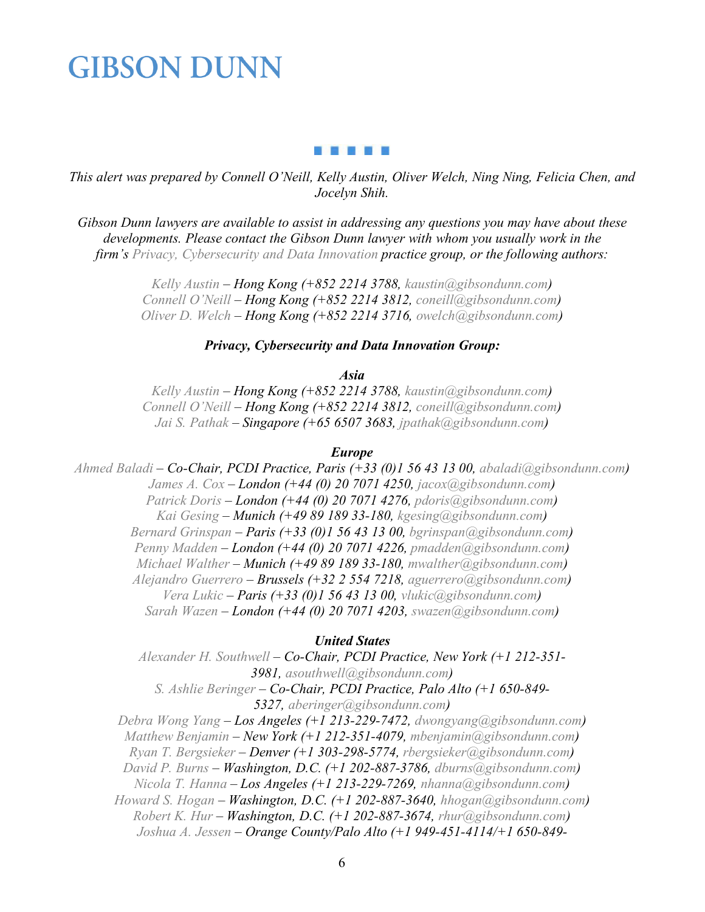#### . . . . .

*This alert was prepared by Connell O'Neill, Kelly Austin, Oliver Welch, Ning Ning, Felicia Chen, and Jocelyn Shih.*

*Gibson Dunn lawyers are available to assist in addressing any questions you may have about these*  developments. Please contact the Gibson Dunn lawyer with whom you usually work in the *firm's [Privacy, Cybersecurity and Data Innovation](https://www.gibsondunn.com/practice/privacy-cybersecurity-and-data-innovation/) [p](https://www.gibsondunn.com/practice/securities-enforcement/)ractice group, or the following authors:*

> *[Kelly Austin](https://www.gibsondunn.com/lawyer/austin-kelly-s/) – Hong Kong (+852 2214 3788, [kaustin@gibsondunn.com\)](mailto:kaustin@gibsondunn.com) [Connell O'Neill](https://www.gibsondunn.com/lawyer/oneill-connell/) – Hong Kong (+852 2214 3812, [coneill@gibsondunn.com\)](mailto:co) [Oliver D. Welch](https://www.gibsondunn.com/lawyer/welch-oliver/) – Hong Kong (+852 2214 3716, [owelch@gibsondunn.com\)](mailto:owelch@gibsondunn.com)*

#### *Privacy, Cybersecurity and Data Innovation Group:*

*Asia*

*[Kelly Austin](https://www.gibsondunn.com/lawyer/austin-kelly-s/) – Hong Kong (+852 2214 3788, [kaustin@gibsondunn.com\)](mailto:kaustin@gibsondunn.com) [Connell O'Neill](https://www.gibsondunn.com/lawyer/oneill-connell/) – Hong Kong (+852 2214 3812, [coneill@gibsondunn.com\)](mailto:co) [Jai S. Pathak](https://www.gibsondunn.com/lawyer/pathak-jai-s/) – Singapore (+65 6507 3683, [jpathak@gibsondunn.com\)](mailto:jpathak@gibsondunn.com)*

#### *Europe*

*[Ahmed Baladi](https://www.gibsondunn.com/lawyer/baladi-ahmed/) – Co-Chair, PCDI Practice, Paris (+33 (0)1 56 43 13 00, [abaladi@gibsondunn.com\)](mailto:abaladi@gibsondunn.com) [James A. Cox](https://www.gibsondunn.com/lawyer/cox-james/) – London (+44 (0) 20 7071 4250, [jacox@gibsondunn.com\)](mailto:jacox@gibsondunn.com) [Patrick Doris](https://www.gibsondunn.com/lawyer/doris-patrick/) – London (+44 (0) 20 7071 4276, [pdoris@gibsondunn.com\)](mailto:pdoris@gibsondunn.com) [Kai Gesing](https://www.gibsondunn.com/lawyer/gesing-kai/) – Munich (+49 89 189 33-180, [kgesing@gibsondunn.com\)](mailto:kgesing@gibsondunn.com) [Bernard Grinspan](https://www.gibsondunn.com/lawyer/grinspan-bernard/) – Paris (+33 (0)1 56 43 13 00, [bgrinspan@gibsondunn.com\)](mailto:bgrinspan@gibsondunn.com) [Penny Madden](https://www.gibsondunn.com/lawyer/madden-penny/) – London (+44 (0) 20 7071 4226, [pmadden@gibsondunn.com\)](mailto:pmadden@gibsondunn.com) [Michael Walther](https://www.gibsondunn.com/lawyer/walther-michael/) – Munich (+49 89 189 33-180, [mwalther@gibsondunn.com\)](mailto:mwalther@gibsondunn.com) [Alejandro Guerrero](https://www.gibsondunn.com/lawyer/guerrero-alejandro/) – Brussels (+32 2 554 7218, [aguerrero@gibsondunn.com\)](mailto:aguerrero@gibsondunn.com) [Vera Lukic](https://www.gibsondunn.com/lawyer/lukic-vera/) – Paris (+33 (0)1 56 43 13 00, [vlukic@gibsondunn.com\)](mailto:vlukic@gibsondunn.com) [Sarah Wazen](https://www.gibsondunn.com/lawyer/wazen-sarah/) – London (+44 (0) 20 7071 4203, [swazen@gibsondunn.com\)](mailto:swazen@gibsondunn.com)*

#### *United States*

*[Alexander H. Southwell](https://www.gibsondunn.com/lawyer/southwell-alexander-h/) – Co-Chair, PCDI Practice, New York (+1 212-351- 3981, [asouthwell@gibsondunn.com\)](mailto:asouthwell@gibsondunn.com) [S. Ashlie Beringer](https://www.gibsondunn.com/lawyer/beringer-s-ashlie/) – Co-Chair, PCDI Practice, Palo Alto (+1 650-849- 5327, [aberinger@gibsondunn.com\)](mailto:aberinger@gibsondunn.com) [Debra Wong Yang](https://www.gibsondunn.com/lawyer/yang-debra-wong/) – Los Angeles (+1 213-229-7472, [dwongyang@gibsondunn.com\)](mailto:dwongyang@gibsondunn.com)*

*[Matthew Benjamin](https://www.gibsondunn.com/lawyer/benjamin-matthew/) – New York (+1 212-351-4079, [mbenjamin@gibsondunn.com\)](mailto:mbenjamin@gibsondunn.com) [Ryan T. Bergsieker](https://www.gibsondunn.com/lawyer/bergsieker-ryan-t/) – Denver (+1 303-298-5774, [rbergsieker@gibsondunn.com\)](mailto:rbergsieker@gibsondunn.com) [David P. Burns](https://www.gibsondunn.com/lawyer/burns-david-p/) – Washington, D.C. (+1 202-887-3786, [dburns@gibsondunn.com\)](mailto:dburns@gibsondunn.com) [Nicola T. Hanna](https://www.gibsondunn.com/lawyer/hanna-nicola-t/) – Los Angeles (+1 213-229-7269, [nhanna@gibsondunn.com\)](mailto:nhanna@gibsondunn.com)*

*[Howard S. Hogan](https://www.gibsondunn.com/lawyer/hogan-howard-s/) – Washington, D.C. (+1 202-887-3640, [hhogan@gibsondunn.com\)](mailto:hhogan@gibsondunn.com) [Robert K. Hur](https://www.gibsondunn.com/lawyer/hur-robert-k/) – Washington, D.C. (+1 202-887-3674, [rhur@gibsondunn.com\)](mailto:rhur@gibsondunn.com) [Joshua A. Jessen](https://www.gibsondunn.com/lawyer/jessen-joshua-a/) – Orange County/Palo Alto (+1 949-451-4114/+1 650-849-*